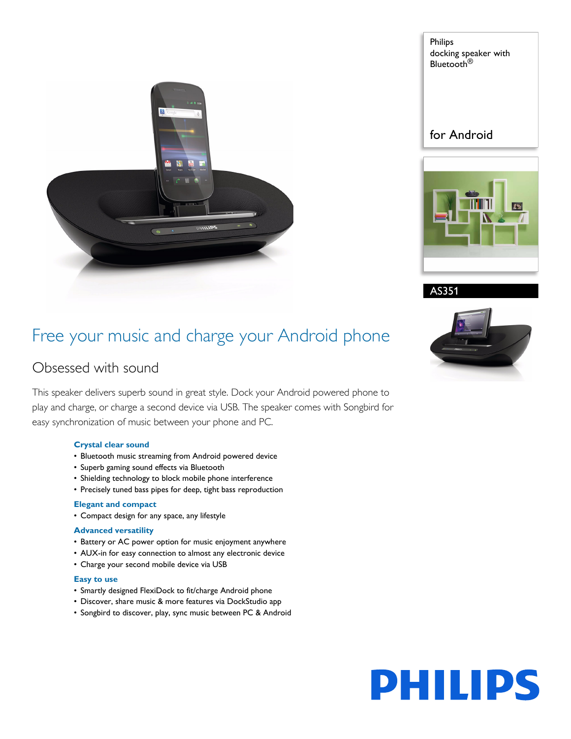

Philips docking speaker with Bluetooth<sup>®</sup>

for Android





AS351

## Free your music and charge your Android phone

## Obsessed with sound

This speaker delivers superb sound in great style. Dock your Android powered phone to play and charge, or charge a second device via USB. The speaker comes with Songbird for easy synchronization of music between your phone and PC.

### **Crystal clear sound**

- Bluetooth music streaming from Android powered device
- Superb gaming sound effects via Bluetooth
- Shielding technology to block mobile phone interference
- Precisely tuned bass pipes for deep, tight bass reproduction

### **Elegant and compact**

• Compact design for any space, any lifestyle

### **Advanced versatility**

- Battery or AC power option for music enjoyment anywhere
- AUX-in for easy connection to almost any electronic device
- Charge your second mobile device via USB

### **Easy to use**

- Smartly designed FlexiDock to fit/charge Android phone
- Discover, share music & more features via DockStudio app
- Songbird to discover, play, sync music between PC & Android